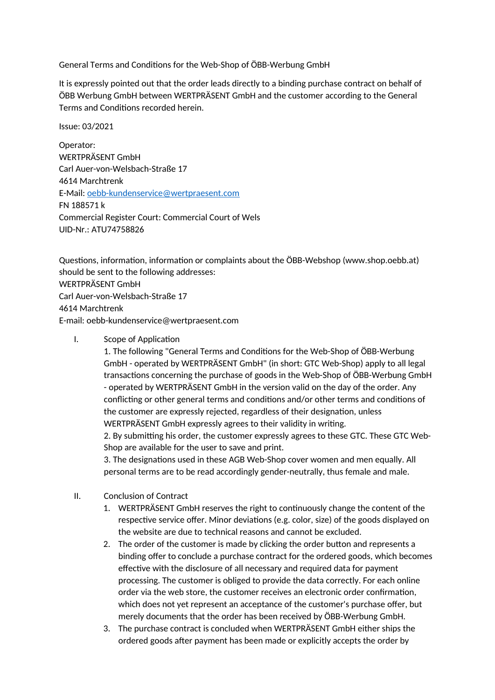General Terms and Conditions for the Web-Shop of ÖBB-Werbung GmbH

It is expressly pointed out that the order leads directly to a binding purchase contract on behalf of ÖBB Werbung GmbH between WERTPRÄSENT GmbH and the customer according to the General Terms and Conditions recorded herein.

Issue: 03/2021

Operator: WERTPRÄSENT GmbH Carl Auer-von-Welsbach-Straße 17 4614 Marchtrenk E-Mail: [oebb-kundenservice@wertpraesent.com](mailto:oebb-kundenservice@wertpraesent.com) FN 188571 k Commercial Register Court: Commercial Court of Wels UID-Nr.: ATU74758826

Questions, information, information or complaints about the ÖBB-Webshop (www.shop.oebb.at) should be sent to the following addresses: WERTPRÄSENT GmbH Carl Auer-von-Welsbach-Straße 17 4614 Marchtrenk E-mail: oebb-kundenservice@wertpraesent.com

I. Scope of Application

1. The following "General Terms and Conditions for the Web-Shop of ÖBB-Werbung GmbH - operated by WERTPRÄSENT GmbH" (in short: GTC Web-Shop) apply to all legal transactions concerning the purchase of goods in the Web-Shop of ÖBB-Werbung GmbH - operated by WERTPRÄSENT GmbH in the version valid on the day of the order. Any conflicting or other general terms and conditions and/or other terms and conditions of the customer are expressly rejected, regardless of their designation, unless WERTPRÄSENT GmbH expressly agrees to their validity in writing.

2. By submitting his order, the customer expressly agrees to these GTC. These GTC Web-Shop are available for the user to save and print.

3. The designations used in these AGB Web-Shop cover women and men equally. All personal terms are to be read accordingly gender-neutrally, thus female and male.

- II. Conclusion of Contract
	- 1. WERTPRÄSENT GmbH reserves the right to continuously change the content of the respective service offer. Minor deviations (e.g. color, size) of the goods displayed on the website are due to technical reasons and cannot be excluded.
	- 2. The order of the customer is made by clicking the order button and represents a binding offer to conclude a purchase contract for the ordered goods, which becomes effective with the disclosure of all necessary and required data for payment processing. The customer is obliged to provide the data correctly. For each online order via the web store, the customer receives an electronic order confirmation, which does not yet represent an acceptance of the customer's purchase offer, but merely documents that the order has been received by ÖBB-Werbung GmbH.
	- 3. The purchase contract is concluded when WERTPRÄSENT GmbH either ships the ordered goods after payment has been made or explicitly accepts the order by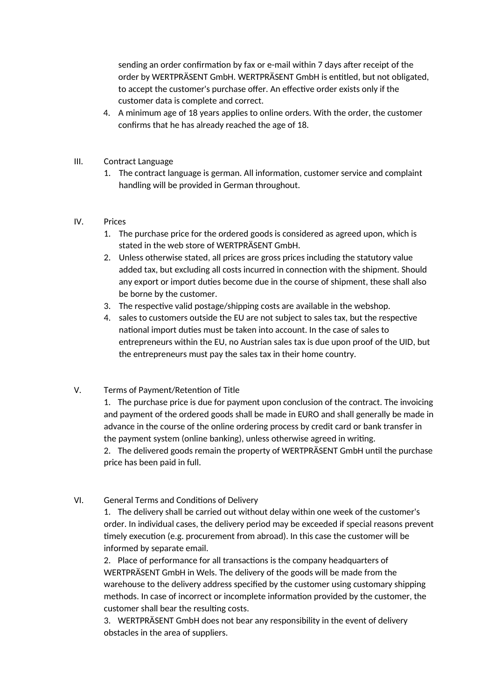sending an order confirmation by fax or e-mail within 7 days after receipt of the order by WERTPRÄSENT GmbH. WERTPRÄSENT GmbH is entitled, but not obligated, to accept the customer's purchase offer. An effective order exists only if the customer data is complete and correct.

- 4. A minimum age of 18 years applies to online orders. With the order, the customer confirms that he has already reached the age of 18.
- III. Contract Language
	- 1. The contract language is german. All information, customer service and complaint handling will be provided in German throughout.

### IV. Prices

- 1. The purchase price for the ordered goods is considered as agreed upon, which is stated in the web store of WERTPRÄSENT GmbH.
- 2. Unless otherwise stated, all prices are gross prices including the statutory value added tax, but excluding all costs incurred in connection with the shipment. Should any export or import duties become due in the course of shipment, these shall also be borne by the customer.
- 3. The respective valid postage/shipping costs are available in the webshop.
- 4. sales to customers outside the EU are not subject to sales tax, but the respective national import duties must be taken into account. In the case of sales to entrepreneurs within the EU, no Austrian sales tax is due upon proof of the UID, but the entrepreneurs must pay the sales tax in their home country.

# V. Terms of Payment/Retention of Title

1. The purchase price is due for payment upon conclusion of the contract. The invoicing and payment of the ordered goods shall be made in EURO and shall generally be made in advance in the course of the online ordering process by credit card or bank transfer in the payment system (online banking), unless otherwise agreed in writing.

2. The delivered goods remain the property of WERTPRÄSENT GmbH until the purchase price has been paid in full.

# VI. General Terms and Conditions of Delivery

1. The delivery shall be carried out without delay within one week of the customer's order. In individual cases, the delivery period may be exceeded if special reasons prevent timely execution (e.g. procurement from abroad). In this case the customer will be informed by separate email.

2. Place of performance for all transactions is the company headquarters of WERTPRÄSENT GmbH in Wels. The delivery of the goods will be made from the warehouse to the delivery address specified by the customer using customary shipping methods. In case of incorrect or incomplete information provided by the customer, the customer shall bear the resulting costs.

3. WERTPRÄSENT GmbH does not bear any responsibility in the event of delivery obstacles in the area of suppliers.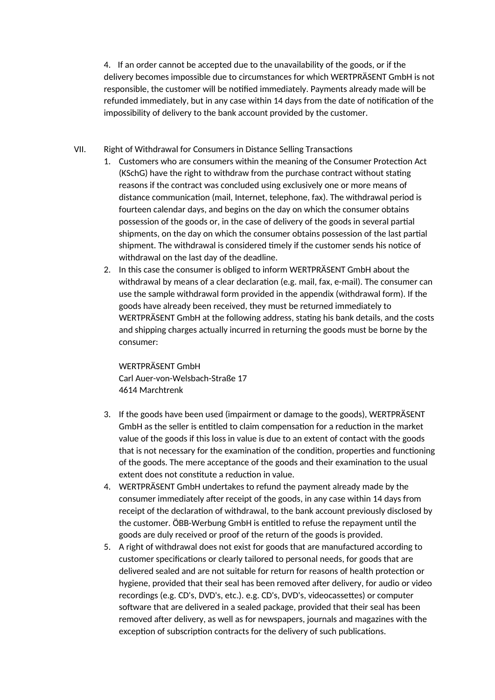4. If an order cannot be accepted due to the unavailability of the goods, or if the delivery becomes impossible due to circumstances for which WERTPRÄSENT GmbH is not responsible, the customer will be notified immediately. Payments already made will be refunded immediately, but in any case within 14 days from the date of notification of the impossibility of delivery to the bank account provided by the customer.

### VII. Right of Withdrawal for Consumers in Distance Selling Transactions

- 1. Customers who are consumers within the meaning of the Consumer Protection Act (KSchG) have the right to withdraw from the purchase contract without stating reasons if the contract was concluded using exclusively one or more means of distance communication (mail, Internet, telephone, fax). The withdrawal period is fourteen calendar days, and begins on the day on which the consumer obtains possession of the goods or, in the case of delivery of the goods in several partial shipments, on the day on which the consumer obtains possession of the last partial shipment. The withdrawal is considered timely if the customer sends his notice of withdrawal on the last day of the deadline.
- 2. In this case the consumer is obliged to inform WERTPRÄSENT GmbH about the withdrawal by means of a clear declaration (e.g. mail, fax, e-mail). The consumer can use the sample withdrawal form provided in the appendix (withdrawal form). If the goods have already been received, they must be returned immediately to WERTPRÄSENT GmbH at the following address, stating his bank details, and the costs and shipping charges actually incurred in returning the goods must be borne by the consumer:

WERTPRÄSENT GmbH Carl Auer-von-Welsbach-Straße 17 4614 Marchtrenk

- 3. If the goods have been used (impairment or damage to the goods), WERTPRÄSENT GmbH as the seller is entitled to claim compensation for a reduction in the market value of the goods if this loss in value is due to an extent of contact with the goods that is not necessary for the examination of the condition, properties and functioning of the goods. The mere acceptance of the goods and their examination to the usual extent does not constitute a reduction in value.
- 4. WERTPRÄSENT GmbH undertakes to refund the payment already made by the consumer immediately after receipt of the goods, in any case within 14 days from receipt of the declaration of withdrawal, to the bank account previously disclosed by the customer. ÖBB-Werbung GmbH is entitled to refuse the repayment until the goods are duly received or proof of the return of the goods is provided.
- 5. A right of withdrawal does not exist for goods that are manufactured according to customer specifications or clearly tailored to personal needs, for goods that are delivered sealed and are not suitable for return for reasons of health protection or hygiene, provided that their seal has been removed after delivery, for audio or video recordings (e.g. CD's, DVD's, etc.). e.g. CD's, DVD's, videocassettes) or computer software that are delivered in a sealed package, provided that their seal has been removed after delivery, as well as for newspapers, journals and magazines with the exception of subscription contracts for the delivery of such publications.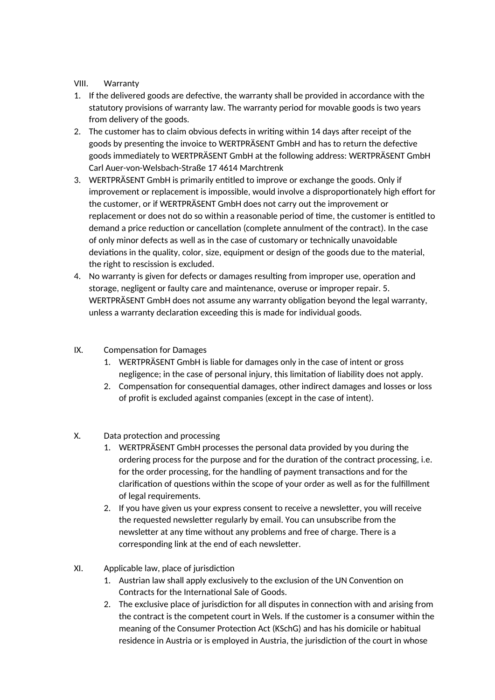## VIII. Warranty

- 1. If the delivered goods are defective, the warranty shall be provided in accordance with the statutory provisions of warranty law. The warranty period for movable goods is two years from delivery of the goods.
- 2. The customer has to claim obvious defects in writing within 14 days after receipt of the goods by presenting the invoice to WERTPRÄSENT GmbH and has to return the defective goods immediately to WERTPRÄSENT GmbH at the following address: WERTPRÄSENT GmbH Carl Auer-von-Welsbach-Straße 17 4614 Marchtrenk
- 3. WERTPRÄSENT GmbH is primarily entitled to improve or exchange the goods. Only if improvement or replacement is impossible, would involve a disproportionately high effort for the customer, or if WERTPRÄSENT GmbH does not carry out the improvement or replacement or does not do so within a reasonable period of time, the customer is entitled to demand a price reduction or cancellation (complete annulment of the contract). In the case of only minor defects as well as in the case of customary or technically unavoidable deviations in the quality, color, size, equipment or design of the goods due to the material, the right to rescission is excluded.
- 4. No warranty is given for defects or damages resulting from improper use, operation and storage, negligent or faulty care and maintenance, overuse or improper repair. 5. WERTPRÄSENT GmbH does not assume any warranty obligation beyond the legal warranty, unless a warranty declaration exceeding this is made for individual goods.
- IX. Compensation for Damages
	- 1. WERTPRÄSENT GmbH is liable for damages only in the case of intent or gross negligence; in the case of personal injury, this limitation of liability does not apply.
	- 2. Compensation for consequential damages, other indirect damages and losses or loss of profit is excluded against companies (except in the case of intent).
- X. Data protection and processing
	- 1. WERTPRÄSENT GmbH processes the personal data provided by you during the ordering process for the purpose and for the duration of the contract processing, i.e. for the order processing, for the handling of payment transactions and for the clarification of questions within the scope of your order as well as for the fulfillment of legal requirements.
	- 2. If you have given us your express consent to receive a newsletter, you will receive the requested newsletter regularly by email. You can unsubscribe from the newsletter at any time without any problems and free of charge. There is a corresponding link at the end of each newsletter.
- XI. Applicable law, place of jurisdiction
	- 1. Austrian law shall apply exclusively to the exclusion of the UN Convention on Contracts for the International Sale of Goods.
	- 2. The exclusive place of jurisdiction for all disputes in connection with and arising from the contract is the competent court in Wels. If the customer is a consumer within the meaning of the Consumer Protection Act (KSchG) and has his domicile or habitual residence in Austria or is employed in Austria, the jurisdiction of the court in whose